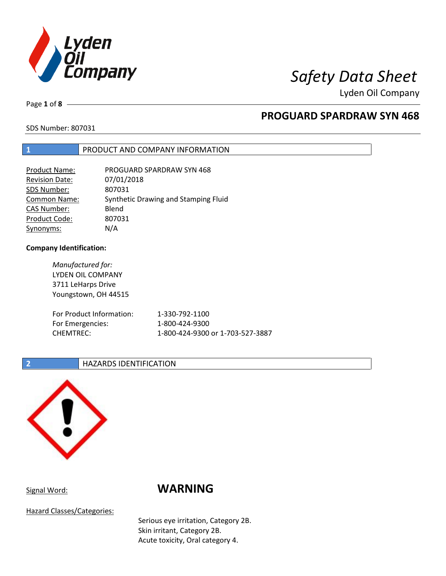

Lyden Oil Company

Page **1** of **8**

# **PROGUARD SPARDRAW SYN 468**

SDS Number: 807031

## **1** PRODUCT AND COMPANY INFORMATION

| Product Name:         | PROGUARD SPARDRAW SYN 468            |
|-----------------------|--------------------------------------|
| <b>Revision Date:</b> | 07/01/2018                           |
| SDS Number:           | 807031                               |
| <b>Common Name:</b>   | Synthetic Drawing and Stamping Fluid |
| <b>CAS Number:</b>    | Blend                                |
| Product Code:         | 807031                               |
| Synonyms:             | N/A                                  |

### **Company Identification:**

*Manufactured for:* LYDEN OIL COMPANY 3711 LeHarps Drive Youngstown, OH 44515 For Product Information: 1-330-792-1100 For Emergencies: 1-800-424-9300 CHEMTREC: 1-800-424-9300 or 1-703-527-3887

### **2 HAZARDS IDENTIFICATION**



# Signal Word: **WARNING**

Hazard Classes/Categories:

Serious eye irritation, Category 2B. Skin irritant, Category 2B. Acute toxicity, Oral category 4.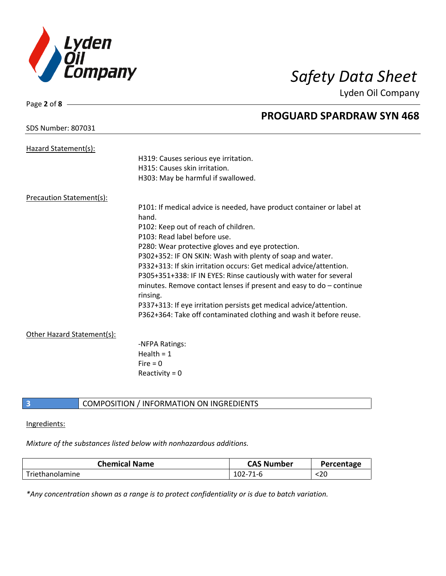

Lyden Oil Company

| SDS Number: 807031 |  |
|--------------------|--|
|--------------------|--|

Page **2** of **8**

# **PROGUARD SPARDRAW SYN 468**

| Hazard Statement(s):                                                  |  |
|-----------------------------------------------------------------------|--|
| H319: Causes serious eye irritation.                                  |  |
| H315: Causes skin irritation.                                         |  |
| H303: May be harmful if swallowed.                                    |  |
| Precaution Statement(s):                                              |  |
| P101: If medical advice is needed, have product container or label at |  |
| hand.                                                                 |  |
| P102: Keep out of reach of children.                                  |  |
| P103: Read label before use.                                          |  |
| P280: Wear protective gloves and eye protection.                      |  |
| P302+352: IF ON SKIN: Wash with plenty of soap and water.             |  |
| P332+313: If skin irritation occurs: Get medical advice/attention.    |  |
| P305+351+338: IF IN EYES: Rinse cautiously with water for several     |  |
| minutes. Remove contact lenses if present and easy to do - continue   |  |
| rinsing.                                                              |  |
| P337+313: If eye irritation persists get medical advice/attention.    |  |
| P362+364: Take off contaminated clothing and wash it before reuse.    |  |
| Other Hazard Statement(s):                                            |  |
| -NFPA Ratings:                                                        |  |
| Health = $1$                                                          |  |
| Fire $= 0$                                                            |  |
| Reactivity = $0$                                                      |  |
|                                                                       |  |

# **3** COMPOSITION / INFORMATION ON INGREDIENTS

### Ingredients:

### *Mixture of the substances listed below with nonhazardous additions.*

| <b>Chemical Name</b> | <b>CAS Number</b> | Percentage |
|----------------------|-------------------|------------|
| Triethanolamine      | 102-71-6          | NZU.       |

*\*Any concentration shown as a range is to protect confidentiality or is due to batch variation.*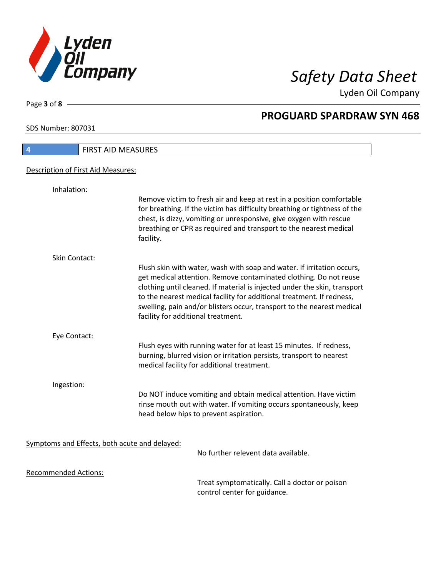

Lyden Oil Company

SDS Number: 807031

Page **3** of **8**

| <b>FIRST AID MEASURES</b><br>4                |                                                                                                                                                                                                                                                                                                                                                                                                                   |
|-----------------------------------------------|-------------------------------------------------------------------------------------------------------------------------------------------------------------------------------------------------------------------------------------------------------------------------------------------------------------------------------------------------------------------------------------------------------------------|
| Description of First Aid Measures:            |                                                                                                                                                                                                                                                                                                                                                                                                                   |
| Inhalation:                                   |                                                                                                                                                                                                                                                                                                                                                                                                                   |
|                                               | Remove victim to fresh air and keep at rest in a position comfortable<br>for breathing. If the victim has difficulty breathing or tightness of the<br>chest, is dizzy, vomiting or unresponsive, give oxygen with rescue<br>breathing or CPR as required and transport to the nearest medical<br>facility.                                                                                                        |
| Skin Contact:                                 |                                                                                                                                                                                                                                                                                                                                                                                                                   |
|                                               | Flush skin with water, wash with soap and water. If irritation occurs,<br>get medical attention. Remove contaminated clothing. Do not reuse<br>clothing until cleaned. If material is injected under the skin, transport<br>to the nearest medical facility for additional treatment. If redness,<br>swelling, pain and/or blisters occur, transport to the nearest medical<br>facility for additional treatment. |
| Eye Contact:                                  |                                                                                                                                                                                                                                                                                                                                                                                                                   |
|                                               | Flush eyes with running water for at least 15 minutes. If redness,<br>burning, blurred vision or irritation persists, transport to nearest<br>medical facility for additional treatment.                                                                                                                                                                                                                          |
| Ingestion:                                    |                                                                                                                                                                                                                                                                                                                                                                                                                   |
|                                               | Do NOT induce vomiting and obtain medical attention. Have victim<br>rinse mouth out with water. If vomiting occurs spontaneously, keep<br>head below hips to prevent aspiration.                                                                                                                                                                                                                                  |
| Symptoms and Effects, both acute and delayed: | No further relevent data available.                                                                                                                                                                                                                                                                                                                                                                               |
| <b>Recommended Actions:</b>                   | Treat symptomatically. Call a doctor or poison                                                                                                                                                                                                                                                                                                                                                                    |

control center for guidance.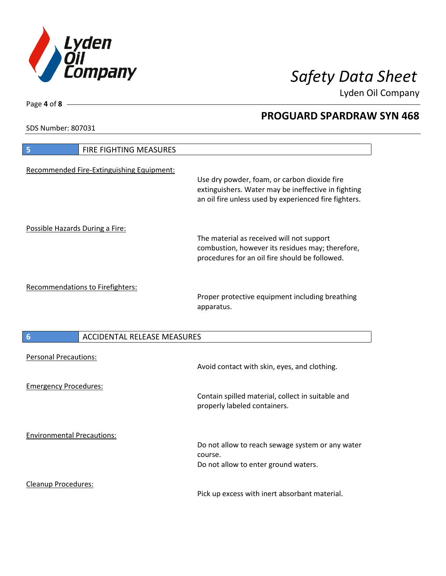

Lyden Oil Company

SDS Number: 807031

| <b>FIRE FIGHTING MEASURES</b><br>5                    |                                                                                                                                                              |
|-------------------------------------------------------|--------------------------------------------------------------------------------------------------------------------------------------------------------------|
| Recommended Fire-Extinguishing Equipment:             | Use dry powder, foam, or carbon dioxide fire<br>extinguishers. Water may be ineffective in fighting<br>an oil fire unless used by experienced fire fighters. |
| Possible Hazards During a Fire:                       | The material as received will not support<br>combustion, however its residues may; therefore,<br>procedures for an oil fire should be followed.              |
| Recommendations to Firefighters:                      | Proper protective equipment including breathing<br>apparatus.                                                                                                |
| <b>ACCIDENTAL RELEASE MEASURES</b><br>$6\phantom{1}6$ |                                                                                                                                                              |
|                                                       |                                                                                                                                                              |
| <b>Personal Precautions:</b>                          | Avoid contact with skin, eyes, and clothing.                                                                                                                 |
| <b>Emergency Procedures:</b>                          | Contain spilled material, collect in suitable and<br>properly labeled containers.                                                                            |
| <b>Environmental Precautions:</b>                     | Do not allow to reach sewage system or any water<br>course.<br>Do not allow to enter ground waters.                                                          |

Page **4** of **8**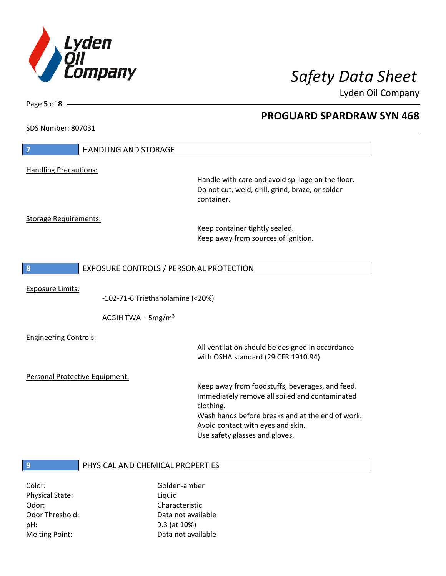

Lyden Oil Company

SDS Number: 807031

Page **5** of **8**

| 7                              | <b>HANDLING AND STORAGE</b>             |                                                                                                                                                                                                                                           |
|--------------------------------|-----------------------------------------|-------------------------------------------------------------------------------------------------------------------------------------------------------------------------------------------------------------------------------------------|
|                                |                                         |                                                                                                                                                                                                                                           |
| <b>Handling Precautions:</b>   |                                         | Handle with care and avoid spillage on the floor.<br>Do not cut, weld, drill, grind, braze, or solder<br>container.                                                                                                                       |
| <b>Storage Requirements:</b>   |                                         | Keep container tightly sealed.<br>Keep away from sources of ignition.                                                                                                                                                                     |
| 8                              | EXPOSURE CONTROLS / PERSONAL PROTECTION |                                                                                                                                                                                                                                           |
| <b>Exposure Limits:</b>        | -102-71-6 Triethanolamine (<20%)        |                                                                                                                                                                                                                                           |
|                                | ACGIH TWA $-$ 5mg/m <sup>3</sup>        |                                                                                                                                                                                                                                           |
| <b>Engineering Controls:</b>   |                                         | All ventilation should be designed in accordance<br>with OSHA standard (29 CFR 1910.94).                                                                                                                                                  |
| Personal Protective Equipment: |                                         |                                                                                                                                                                                                                                           |
|                                |                                         | Keep away from foodstuffs, beverages, and feed.<br>Immediately remove all soiled and contaminated<br>clothing.<br>Wash hands before breaks and at the end of work.<br>Avoid contact with eyes and skin.<br>Use safety glasses and gloves. |
| 9                              | PHYSICAL AND CHEMICAL PROPERTIES        |                                                                                                                                                                                                                                           |
| Color:                         | Golden-amber                            |                                                                                                                                                                                                                                           |

Physical State: Liquid Odor: Characteristic pH: 9.3 (at 10%) Melting Point: Case Controller Muslim Data not available

Odor Threshold: Data not available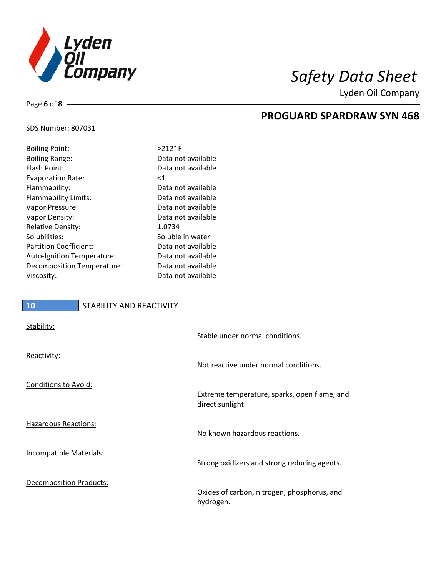

Lyden Oil Company

## SDS Number: 807031

Page **6** of **8**

| <b>Boiling Point:</b>         | $>212$ °F          |
|-------------------------------|--------------------|
| <b>Boiling Range:</b>         | Data not available |
| Flash Point:                  | Data not available |
| <b>Evaporation Rate:</b>      | ${<}1$             |
| Flammability:                 | Data not available |
| Flammability Limits:          | Data not available |
| Vapor Pressure:               | Data not available |
| Vapor Density:                | Data not available |
| <b>Relative Density:</b>      | 1.0734             |
| Solubilities:                 | Soluble in water   |
| <b>Partition Coefficient:</b> | Data not available |
| Auto-Ignition Temperature:    | Data not available |
| Decomposition Temperature:    | Data not available |
| Viscosity:                    | Data not available |
|                               |                    |

## **10** STABILITY AND REACTIVITY

| Stability:                     | Stable under normal conditions.                                  |
|--------------------------------|------------------------------------------------------------------|
| Reactivity:                    | Not reactive under normal conditions.                            |
| Conditions to Avoid:           | Extreme temperature, sparks, open flame, and<br>direct sunlight. |
| <b>Hazardous Reactions:</b>    | No known hazardous reactions.                                    |
| Incompatible Materials:        | Strong oxidizers and strong reducing agents.                     |
| <b>Decomposition Products:</b> | Oxides of carbon, nitrogen, phosphorus, and<br>hydrogen.         |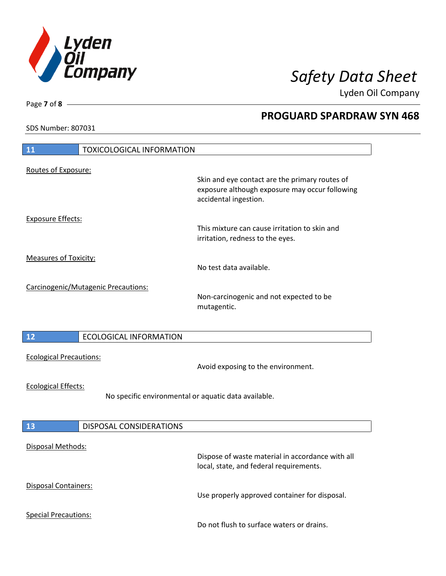

Lyden Oil Company

SDS Number: 807031

| <b>11</b><br><b>TOXICOLOGICAL INFORMATION</b>                                      |                                                                                                                           |
|------------------------------------------------------------------------------------|---------------------------------------------------------------------------------------------------------------------------|
|                                                                                    |                                                                                                                           |
| Routes of Exposure:                                                                | Skin and eye contact are the primary routes of<br>exposure although exposure may occur following<br>accidental ingestion. |
| <b>Exposure Effects:</b>                                                           | This mixture can cause irritation to skin and<br>irritation, redness to the eyes.                                         |
| <b>Measures of Toxicity:</b>                                                       | No test data available.                                                                                                   |
| Carcinogenic/Mutagenic Precautions:                                                | Non-carcinogenic and not expected to be<br>mutagentic.                                                                    |
| 12<br><b>ECOLOGICAL INFORMATION</b>                                                |                                                                                                                           |
| <b>Ecological Precautions:</b>                                                     | Avoid exposing to the environment.                                                                                        |
| <b>Ecological Effects:</b><br>No specific environmental or aquatic data available. |                                                                                                                           |
| 13<br>DISPOSAL CONSIDERATIONS                                                      |                                                                                                                           |
| Disposal Methods:                                                                  | Dispose of waste material in accordance with all<br>local, state, and federal requirements.                               |
| Disposal Containers:                                                               | Use properly approved container for disposal.                                                                             |
| <b>Special Precautions:</b>                                                        | Do not flush to surface waters or drains.                                                                                 |

Page **7** of **8**